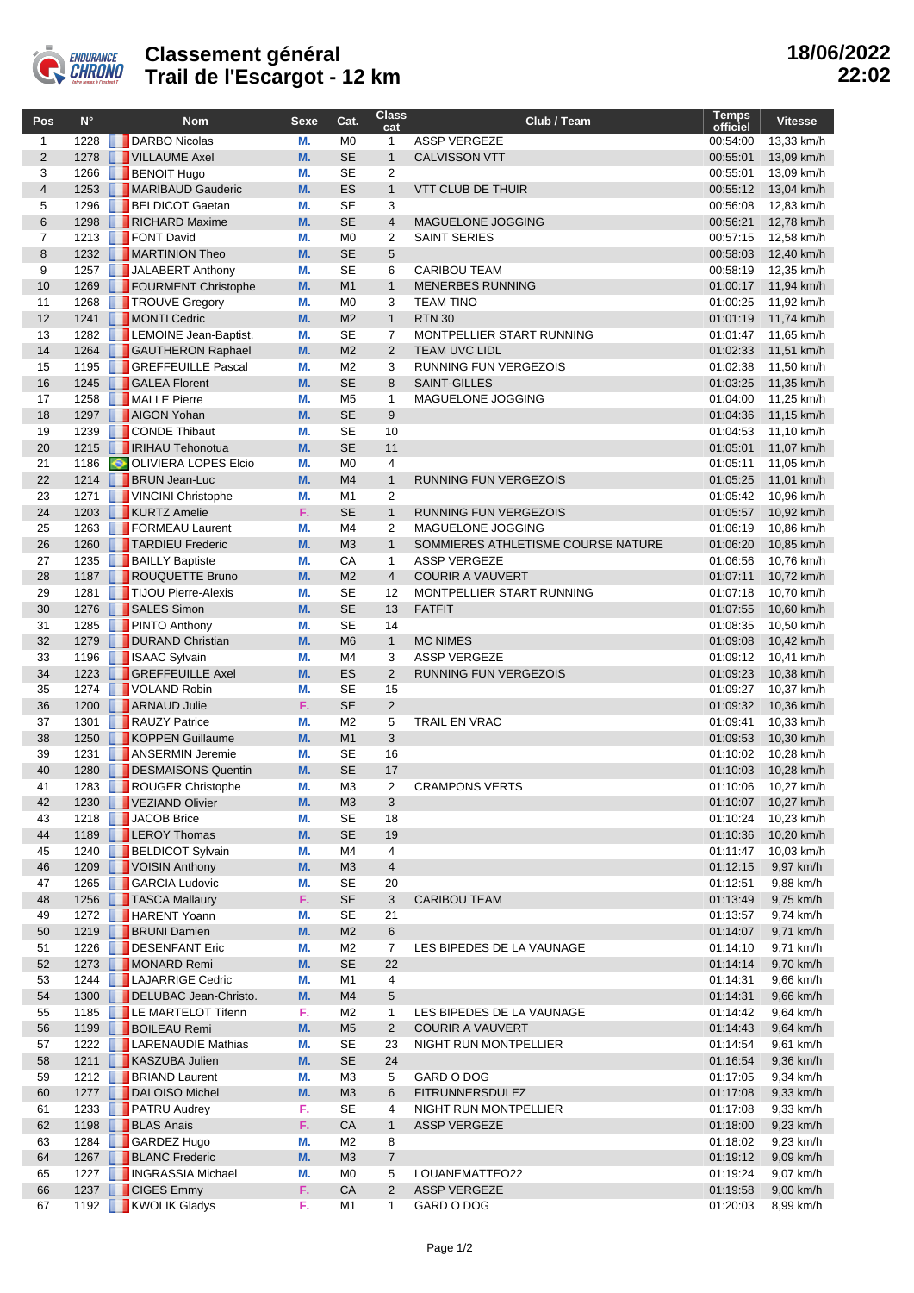

## **Classement général Trail de l'Escargot - 12 km**

| Pos                 | $N^{\circ}$  | <b>Nom</b>                                          | Sexe     | Cat.                        | <b>Class</b><br>cat  | Club / Team                        | <b>Temps</b><br>officiel | <b>Vitesse</b>           |
|---------------------|--------------|-----------------------------------------------------|----------|-----------------------------|----------------------|------------------------------------|--------------------------|--------------------------|
| $\mathbf{1}$        | 1228         | DARBO Nicolas                                       | М.       | M <sub>0</sub>              | $\mathbf{1}$         | <b>ASSP VERGEZE</b>                | 00:54:00                 | 13,33 km/h               |
| $\overline{2}$      | 1278         | VILLAUME Axel                                       | M.       | <b>SE</b>                   | $\mathbf{1}$         | <b>CALVISSON VTT</b>               | 00:55:01                 | 13,09 km/h               |
| 3                   | 1266         | <b>BENOIT Hugo</b>                                  | M.       | <b>SE</b>                   | 2                    |                                    | 00:55:01                 | 13,09 km/h               |
| $\overline{4}$      | 1253         | MARIBAUD Gauderic                                   | M.       | ES                          | $\mathbf{1}$         | <b>VTT CLUB DE THUIR</b>           | 00:55:12                 | 13,04 km/h               |
| 5                   | 1296         | <b>BELDICOT Gaetan</b>                              | М.       | <b>SE</b>                   | 3                    |                                    | 00:56:08                 | 12,83 km/h               |
| 6                   | 1298         | RICHARD Maxime                                      | M.       | <b>SE</b><br>M <sub>0</sub> | $\overline{4}$       | MAGUELONE JOGGING                  | 00:56:21                 | 12,78 km/h               |
| $\overline{7}$<br>8 | 1213<br>1232 | <b>FONT David</b><br>MARTINION Theo                 | M.<br>M. | <b>SE</b>                   | $\overline{2}$<br>5  | <b>SAINT SERIES</b>                | 00:57:15<br>00:58:03     | 12,58 km/h<br>12,40 km/h |
| 9                   | 1257         | JALABERT Anthony                                    | М.       | <b>SE</b>                   | 6                    | <b>CARIBOU TEAM</b>                | 00:58:19                 | 12,35 km/h               |
| 10                  | 1269         | FOURMENT Christophe                                 | M.       | M1                          | $\mathbf{1}$         | <b>MENERBES RUNNING</b>            | 01:00:17                 | 11,94 km/h               |
| 11                  | 1268         | TROUVE Gregory                                      | М.       | M <sub>0</sub>              | 3                    | <b>TEAM TINO</b>                   | 01:00:25                 | 11,92 km/h               |
| 12                  | 1241         | MONTI Cedric                                        | M.       | M <sub>2</sub>              | $\mathbf{1}$         | <b>RTN 30</b>                      | 01:01:19                 | 11,74 km/h               |
| 13                  | 1282         | <b>LEMOINE Jean-Baptist.</b>                        | М.       | <b>SE</b>                   | $\overline{7}$       | MONTPELLIER START RUNNING          | 01:01:47                 | 11,65 km/h               |
| 14                  |              | 1264 GAUTHERON Raphael                              | M.       | M <sub>2</sub>              | $\overline{2}$       | <b>TEAM UVC LIDL</b>               | 01:02:33                 | 11,51 km/h               |
| 15                  | 1195         | <b>GREFFEUILLE Pascal</b>                           | M.       | M <sub>2</sub>              | 3                    | RUNNING FUN VERGEZOIS              | 01:02:38                 | 11,50 km/h               |
| 16                  | 1245         | <b>GALEA Florent</b>                                | M.       | <b>SE</b>                   | 8                    | <b>SAINT-GILLES</b>                | 01:03:25                 | 11,35 km/h               |
| 17                  | 1258         | MALLE Pierre                                        | M.       | M <sub>5</sub>              | $\mathbf{1}$         | MAGUELONE JOGGING                  | 01:04:00                 | 11,25 km/h               |
| 18                  | 1297         | AIGON Yohan                                         | M.       | <b>SE</b>                   | 9                    |                                    | 01:04:36                 | 11,15 km/h               |
| 19                  | 1239         | CONDE Thibaut                                       | M.       | <b>SE</b>                   | 10                   |                                    | 01:04:53                 | 11,10 km/h               |
| 20<br>21            | 1215<br>1186 | <b>RIHAU Tehonotua</b><br>OLIVIERA LOPES Elcio      | M.<br>М. | <b>SE</b><br>M <sub>0</sub> | 11<br>4              |                                    | 01:05:01<br>01:05:11     | 11,07 km/h<br>11,05 km/h |
| 22                  |              | 1214 <b>BRUN</b> Jean-Luc                           | M.       | M <sub>4</sub>              | $\mathbf{1}$         | RUNNING FUN VERGEZOIS              | 01:05:25                 | 11,01 km/h               |
| 23                  | 1271         | VINCINI Christophe                                  | M.       | M <sub>1</sub>              | $\overline{2}$       |                                    | 01:05:42                 | 10,96 km/h               |
| 24                  | 1203         | KURTZ Amelie                                        | F.       | <b>SE</b>                   | $\mathbf{1}$         | <b>RUNNING FUN VERGEZOIS</b>       | 01:05:57                 | 10,92 km/h               |
| 25                  | 1263         | FORMEAU Laurent                                     | М.       | M4                          | 2                    | MAGUELONE JOGGING                  | 01:06:19                 | 10,86 km/h               |
| 26                  | 1260         | TARDIEU Frederic                                    | M.       | M <sub>3</sub>              | $\mathbf{1}$         | SOMMIERES ATHLETISME COURSE NATURE | 01:06:20                 | 10,85 km/h               |
| 27                  | 1235         | <b>BAILLY Baptiste</b>                              | М.       | CA                          | $\mathbf{1}$         | <b>ASSP VERGEZE</b>                | 01:06:56                 | 10,76 km/h               |
| 28                  | 1187         | ROUQUETTE Bruno                                     | M.       | M <sub>2</sub>              | $\overline{4}$       | <b>COURIR A VAUVERT</b>            | 01:07:11                 | 10,72 km/h               |
| 29                  | 1281         | TIJOU Pierre-Alexis                                 | М.       | <b>SE</b>                   | 12                   | MONTPELLIER START RUNNING          | 01:07:18                 | 10,70 km/h               |
| 30                  | 1276         | SALES Simon                                         | M.       | <b>SE</b>                   | 13                   | <b>FATFIT</b>                      | 01:07:55                 | 10,60 km/h               |
| 31                  | 1285         | <b>PINTO Anthony</b>                                | М.       | <b>SE</b>                   | 14                   |                                    | 01:08:35                 | 10,50 km/h               |
| 32                  | 1279         | DURAND Christian                                    | M.       | M <sub>6</sub>              | $\mathbf{1}$         | <b>MC NIMES</b>                    | 01:09:08                 | 10,42 km/h               |
| 33                  | 1196         | <b>B</b> ISAAC Sylvain                              | М.<br>M. | M4<br>ES                    | 3                    | <b>ASSP VERGEZE</b>                | 01:09:12                 | 10,41 km/h               |
| 34<br>35            | 1223<br>1274 | <b>GREFFEUILLE Axel</b><br>VOLAND Robin             | M.       | <b>SE</b>                   | $\overline{2}$<br>15 | RUNNING FUN VERGEZOIS              | 01:09:23<br>01:09:27     | 10,38 km/h<br>10,37 km/h |
| 36                  | 1200         | <b>ARNAUD Julie</b>                                 | F.       | <b>SE</b>                   | $\overline{2}$       |                                    | 01:09:32                 | 10,36 km/h               |
| 37                  | 1301         | RAUZY Patrice                                       | М.       | M <sub>2</sub>              | 5                    | <b>TRAIL EN VRAC</b>               | 01:09:41                 | 10,33 km/h               |
| 38                  | 1250         | KOPPEN Guillaume                                    | M.       | M1                          | 3                    |                                    | 01:09:53                 | 10,30 km/h               |
| 39                  | 1231         | <b>ANSERMIN Jeremie</b>                             | М.       | <b>SE</b>                   | 16                   |                                    | 01:10:02                 | 10,28 km/h               |
| 40                  | 1280         | DESMAISONS Quentin                                  | M.       | <b>SE</b>                   | 17                   |                                    | 01:10:03                 | 10,28 km/h               |
| 41                  | 1283         | ROUGER Christophe                                   | М.       | M <sub>3</sub>              | $\overline{2}$       | <b>CRAMPONS VERTS</b>              | 01:10:06                 | 10,27 km/h               |
| 42                  |              | 1230 VEZIAND Olivier                                | M.       | M <sub>3</sub>              | 3                    |                                    | 01:10:07                 | 10,27 km/h               |
| 43                  | 1218         | JACOB Brice                                         | М.       | <b>SE</b>                   | 18                   |                                    | 01:10:24                 | 10,23 km/h               |
| 44                  |              | 1189 <b>LEROY Thomas</b>                            | M.       | <b>SE</b>                   | 19                   |                                    | 01:10:36                 | 10,20 km/h               |
| 45                  | 1240         | <b>BELDICOT Sylvain</b>                             | М.       | M4                          | 4                    |                                    | 01:11:47                 | 10,03 km/h               |
| 46                  |              | 1209 VOISIN Anthony                                 | M.       | M <sub>3</sub>              | $\overline{4}$       |                                    | 01:12:15                 | 9,97 km/h                |
| 47                  | 1265         | <b>GARCIA Ludovic</b>                               | М.       | <b>SE</b>                   | 20                   |                                    | 01:12:51                 | 9,88 km/h                |
| 48                  | 1272         | 1256 <b>TASCA Mallaury</b><br><b>F</b> HARENT Yoann | F.       | <b>SE</b><br><b>SE</b>      | 3<br>21              | <b>CARIBOU TEAM</b>                | 01:13:49                 | 9,75 km/h                |
| 49<br>50            |              | 1219 <b>BRUNI</b> Damien                            | М.<br>M. | M <sub>2</sub>              | 6                    |                                    | 01:13:57<br>01:14:07     | 9,74 km/h<br>9,71 km/h   |
| 51                  | 1226         | DESENFANT Eric                                      | М.       | M <sub>2</sub>              | 7                    | LES BIPEDES DE LA VAUNAGE          | 01:14:10                 | 9,71 km/h                |
| 52                  |              | 1273 MONARD Remi                                    | M.       | <b>SE</b>                   | 22                   |                                    | 01:14:14                 | 9,70 km/h                |
| 53                  | 1244         | LAJARRIGE Cedric                                    | М.       | M1                          | 4                    |                                    | 01:14:31                 | 9,66 km/h                |
| 54                  |              | 1300 DELUBAC Jean-Christo.                          | M.       | M4                          | 5                    |                                    | 01:14:31                 | 9,66 km/h                |
| 55                  | 1185         | <b>LE MARTELOT Tifenn</b>                           | F.       | M <sub>2</sub>              | 1                    | LES BIPEDES DE LA VAUNAGE          | 01:14:42                 | 9,64 km/h                |
| 56                  |              | 1199 BOILEAU Remi                                   | M.       | M <sub>5</sub>              | $\overline{2}$       | <b>COURIR A VAUVERT</b>            | 01:14:43                 | 9,64 km/h                |
| 57                  | 1222         | <b>LARENAUDIE Mathias</b>                           | М.       | <b>SE</b>                   | 23                   | NIGHT RUN MONTPELLIER              | 01:14:54                 | 9,61 km/h                |
| 58                  |              | 1211   KASZUBA Julien                               | M.       | <b>SE</b>                   | 24                   |                                    | 01:16:54                 | 9,36 km/h                |
| 59                  |              | 1212 <b>BRIAND Laurent</b>                          | М.       | M <sub>3</sub>              | 5                    | GARD O DOG                         | 01:17:05                 | 9,34 km/h                |
| 60                  | 1277         | DALOISO Michel                                      | M.       | M3                          | 6                    | <b>FITRUNNERSDULEZ</b>             | 01:17:08                 | 9,33 km/h                |
| 61                  | 1233         | <b>PATRU Audrey</b>                                 | F.       | <b>SE</b>                   | 4                    | NIGHT RUN MONTPELLIER              | 01:17:08                 | 9,33 km/h                |
| 62                  |              | 1198 BLAS Anais                                     | F.       | CA                          | $\mathbf{1}$         | <b>ASSP VERGEZE</b>                | 01:18:00                 | 9,23 km/h                |
| 63<br>64            | 1267         | 1284 GARDEZ Hugo<br><b>BLANC Frederic</b>           | М.<br>M. | M <sub>2</sub><br>M3        | 8<br>$\overline{7}$  |                                    | 01:18:02                 | 9,23 km/h                |
| 65                  | 1227         | <b>NEXT INGRASSIA Michael</b>                       | М.       | M <sub>0</sub>              | 5                    | LOUANEMATTEO22                     | 01:19:12<br>01:19:24     | 9,09 km/h<br>9,07 km/h   |
| 66                  |              | 1237 CIGES Emmy                                     | F.       | CA                          | $\overline{c}$       | <b>ASSP VERGEZE</b>                | 01:19:58                 | 9,00 km/h                |
| 67                  |              | 1192 <b>KWOLIK Gladys</b>                           | F.       | M1                          | 1                    | GARD O DOG                         | 01:20:03                 | 8,99 km/h                |
|                     |              |                                                     |          |                             |                      |                                    |                          |                          |